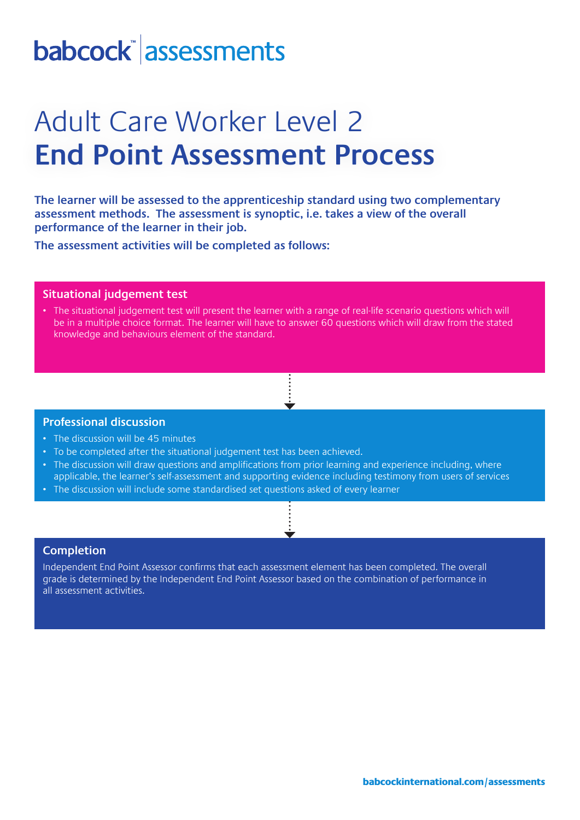# babcock assessments

## Adult Care Worker Level 2 **End Point Assessment Process**

**The learner will be assessed to the apprenticeship standard using two complementary assessment methods. The assessment is synoptic, i.e. takes a view of the overall performance of the learner in their job.** 

**The assessment activities will be completed as follows:**

### **Situational judgement test**

• The situational judgement test will present the learner with a range of real-life scenario questions which will be in a multiple choice format. The learner will have to answer 60 questions which will draw from the stated knowledge and behaviours element of the standard.

#### **Professional discussion**

- The discussion will be 45 minutes
- To be completed after the situational judgement test has been achieved.
- The discussion will draw questions and amplifications from prior learning and experience including, where applicable, the learner's self-assessment and supporting evidence including testimony from users of services
- The discussion will include some standardised set questions asked of every learner

### **Completion**

Independent End Point Assessor confirms that each assessment element has been completed. The overall grade is determined by the Independent End Point Assessor based on the combination of performance in all assessment activities.